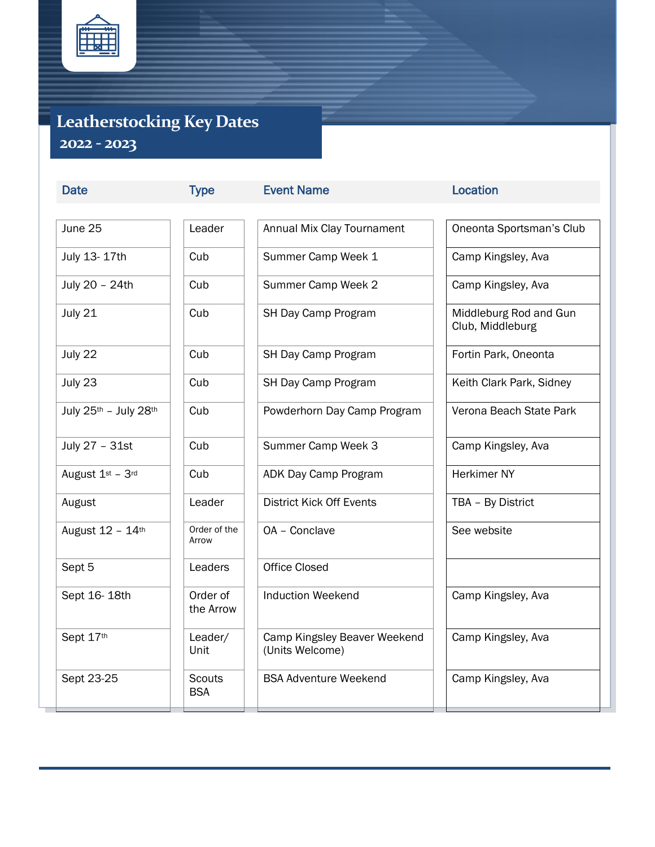

## **Leatherstocking Key Dates 2022 - 2023**

| June 25               | Leader                      |
|-----------------------|-----------------------------|
| July 13- 17th         | Cub                         |
| July 20 - 24th        | Cub                         |
| July 21               | Cub                         |
| July 22               | Cub                         |
| July 23               | Cub                         |
| July 25th - July 28th | Cub                         |
| July 27 - 31st        | Cub                         |
| August 1st - 3rd      | Cub                         |
| August                | Leader                      |
| August 12 - 14th      | Order of the<br>Arrow       |
| Sept 5                | Leaders                     |
| Sept 16-18th          | Order of<br>the Arrow       |
| Sept 17th             | Leader/<br>Unit             |
| Sept 23-25            | <b>Scouts</b><br><b>BSA</b> |

Date Type Event Name Contact Location Annual Mix Clay Tournament | | Oneonta Sportsman's Club Summer Camp Week 1 | Camp Kingsley, Ava Summer Camp Week 2 | | Camp Kingsley, Ava SH Day Camp Program Middleburg Rod and Gun SH Day Camp Program Fortin Park, Oneonta SH Day Camp Program Keith Clark Park, Sidney Powderhorn Day Camp Program | | Verona Beach State Park Summer Camp Week 3 | Camp Kingsley, Ava ADK Day Camp Program Herkimer NY District Kick Off Events Table 1 TBA – By District OA – Conclave See Website rs  $\|\ \|$  Office Closed Induction Weekend **Camp Kingsley, Ava** Camp Kingsley Beaver Weekend (Units Welcome) BSA Adventure Weekend | Camp Kingsley, Ava

Club, Middleburg

Camp Kingsley, Ava